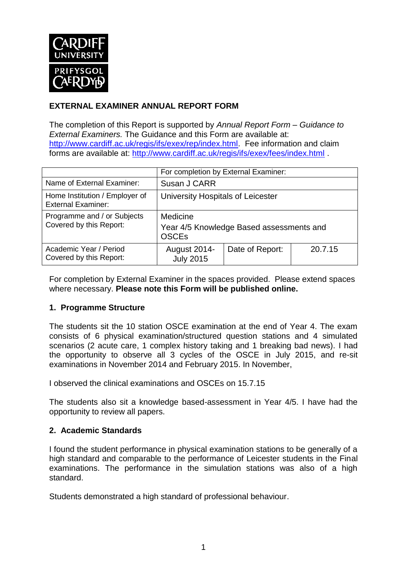

# **EXTERNAL EXAMINER ANNUAL REPORT FORM**

The completion of this Report is supported by *Annual Report Form – Guidance to External Examiners.* The Guidance and this Form are available at: [http://www.cardiff.ac.uk/regis/ifs/exex/rep/index.html.](http://www.cardiff.ac.uk/regis/ifs/exex/rep/index.html) Fee information and claim forms are available at:<http://www.cardiff.ac.uk/regis/ifs/exex/fees/index.html> .

|                                                             | For completion by External Examiner:                                 |                 |         |  |  |
|-------------------------------------------------------------|----------------------------------------------------------------------|-----------------|---------|--|--|
| Name of External Examiner:                                  | Susan J CARR                                                         |                 |         |  |  |
| Home Institution / Employer of<br><b>External Examiner:</b> | University Hospitals of Leicester                                    |                 |         |  |  |
| Programme and / or Subjects<br>Covered by this Report:      | Medicine<br>Year 4/5 Knowledge Based assessments and<br><b>OSCEs</b> |                 |         |  |  |
| Academic Year / Period<br>Covered by this Report:           | August 2014-<br><b>July 2015</b>                                     | Date of Report: | 20.7.15 |  |  |

For completion by External Examiner in the spaces provided. Please extend spaces where necessary. **Please note this Form will be published online.**

# **1. Programme Structure**

The students sit the 10 station OSCE examination at the end of Year 4. The exam consists of 6 physical examination/structured question stations and 4 simulated scenarios (2 acute care, 1 complex history taking and 1 breaking bad news). I had the opportunity to observe all 3 cycles of the OSCE in July 2015, and re-sit examinations in November 2014 and February 2015. In November,

I observed the clinical examinations and OSCEs on 15.7.15

The students also sit a knowledge based-assessment in Year 4/5. I have had the opportunity to review all papers.

#### **2. Academic Standards**

I found the student performance in physical examination stations to be generally of a high standard and comparable to the performance of Leicester students in the Final examinations. The performance in the simulation stations was also of a high standard.

Students demonstrated a high standard of professional behaviour.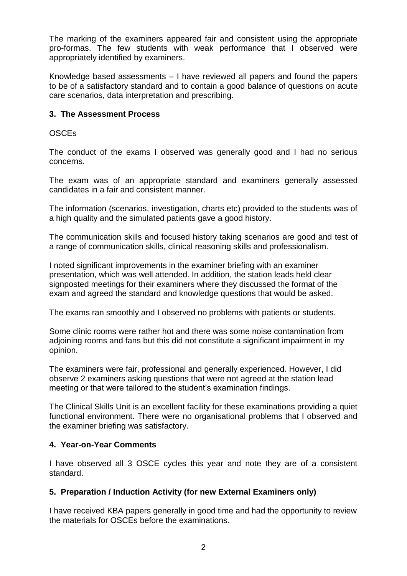The marking of the examiners appeared fair and consistent using the appropriate pro-formas. The few students with weak performance that I observed were appropriately identified by examiners.

Knowledge based assessments – I have reviewed all papers and found the papers to be of a satisfactory standard and to contain a good balance of questions on acute care scenarios, data interpretation and prescribing.

## **3. The Assessment Process**

### OSCEs

The conduct of the exams I observed was generally good and I had no serious concerns.

The exam was of an appropriate standard and examiners generally assessed candidates in a fair and consistent manner.

The information (scenarios, investigation, charts etc) provided to the students was of a high quality and the simulated patients gave a good history.

The communication skills and focused history taking scenarios are good and test of a range of communication skills, clinical reasoning skills and professionalism.

I noted significant improvements in the examiner briefing with an examiner presentation, which was well attended. In addition, the station leads held clear signposted meetings for their examiners where they discussed the format of the exam and agreed the standard and knowledge questions that would be asked.

The exams ran smoothly and I observed no problems with patients or students.

Some clinic rooms were rather hot and there was some noise contamination from adjoining rooms and fans but this did not constitute a significant impairment in my opinion.

The examiners were fair, professional and generally experienced. However, I did observe 2 examiners asking questions that were not agreed at the station lead meeting or that were tailored to the student's examination findings.

The Clinical Skills Unit is an excellent facility for these examinations providing a quiet functional environment. There were no organisational problems that I observed and the examiner briefing was satisfactory.

#### **4. Year-on-Year Comments**

I have observed all 3 OSCE cycles this year and note they are of a consistent standard.

#### **5. Preparation / Induction Activity (for new External Examiners only)**

I have received KBA papers generally in good time and had the opportunity to review the materials for OSCEs before the examinations.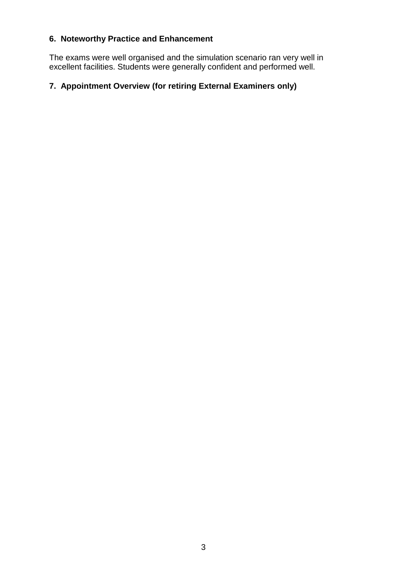# **6. Noteworthy Practice and Enhancement**

The exams were well organised and the simulation scenario ran very well in excellent facilities. Students were generally confident and performed well.

# **7. Appointment Overview (for retiring External Examiners only)**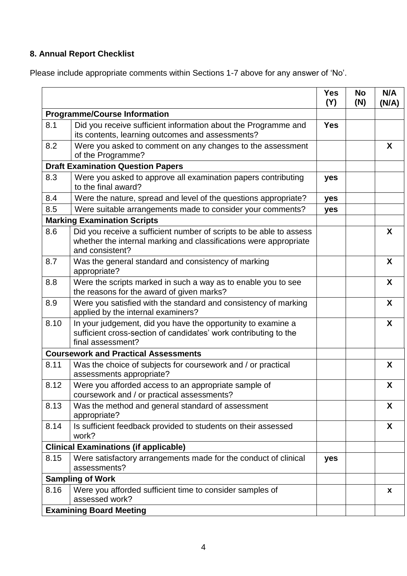# **8. Annual Report Checklist**

Please include appropriate comments within Sections 1-7 above for any answer of 'No'.

|      |                                                                                                                                                             | <b>Yes</b><br>(Y) | No<br>(N) | N/A<br>(N/A) |
|------|-------------------------------------------------------------------------------------------------------------------------------------------------------------|-------------------|-----------|--------------|
|      | <b>Programme/Course Information</b>                                                                                                                         |                   |           |              |
| 8.1  | Did you receive sufficient information about the Programme and<br>its contents, learning outcomes and assessments?                                          | <b>Yes</b>        |           |              |
| 8.2  | Were you asked to comment on any changes to the assessment<br>of the Programme?                                                                             |                   |           | X            |
|      | <b>Draft Examination Question Papers</b>                                                                                                                    |                   |           |              |
| 8.3  | Were you asked to approve all examination papers contributing<br>to the final award?                                                                        | yes               |           |              |
| 8.4  | Were the nature, spread and level of the questions appropriate?                                                                                             | yes               |           |              |
| 8.5  | Were suitable arrangements made to consider your comments?                                                                                                  | yes               |           |              |
|      | <b>Marking Examination Scripts</b>                                                                                                                          |                   |           |              |
| 8.6  | Did you receive a sufficient number of scripts to be able to assess<br>whether the internal marking and classifications were appropriate<br>and consistent? |                   |           | X            |
| 8.7  | Was the general standard and consistency of marking<br>appropriate?                                                                                         |                   |           | X            |
| 8.8  | Were the scripts marked in such a way as to enable you to see<br>the reasons for the award of given marks?                                                  |                   |           | X            |
| 8.9  | Were you satisfied with the standard and consistency of marking<br>applied by the internal examiners?                                                       |                   |           | X            |
| 8.10 | In your judgement, did you have the opportunity to examine a<br>sufficient cross-section of candidates' work contributing to the<br>final assessment?       |                   |           | X            |
|      | <b>Coursework and Practical Assessments</b>                                                                                                                 |                   |           |              |
| 8.11 | Was the choice of subjects for coursework and / or practical<br>assessments appropriate?                                                                    |                   |           | X            |
| 8.12 | Were you afforded access to an appropriate sample of<br>coursework and / or practical assessments?                                                          |                   |           | X            |
| 8.13 | Was the method and general standard of assessment<br>appropriate?                                                                                           |                   |           | X            |
| 8.14 | Is sufficient feedback provided to students on their assessed<br>work?                                                                                      |                   |           | X            |
|      | <b>Clinical Examinations (if applicable)</b>                                                                                                                |                   |           |              |
| 8.15 | Were satisfactory arrangements made for the conduct of clinical<br>assessments?                                                                             | yes               |           |              |
|      | <b>Sampling of Work</b>                                                                                                                                     |                   |           |              |
| 8.16 | Were you afforded sufficient time to consider samples of<br>assessed work?                                                                                  |                   |           | X            |
|      | <b>Examining Board Meeting</b>                                                                                                                              |                   |           |              |